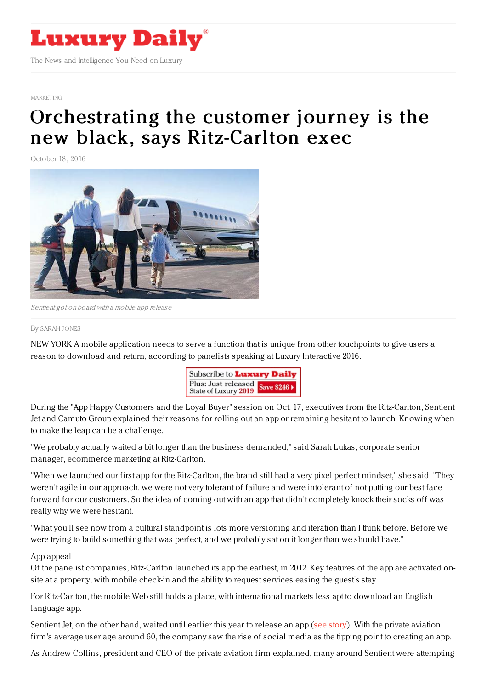

#### [MARKETING](https://www.luxurydaily.com/category/sectors/marketing-industry-sectors/)

# [Orchestrating](https://www.luxurydaily.com/orchestrating-the-customer-journey-is-the-new-black-says-ritz-carlton-exec/) the customer journey is the new black, says Ritz-Carlton exec

October 18, 2016



Sentient got on board with <sup>a</sup> mobile app release

#### By [SARAH](file:///author/sarah-jones) JONES

NEW YORK A mobile application needs to serve a function that is unique from other touchpoints to give users a reason to download and return, according to panelists speaking at Luxury Interactive 2016.



During the "App Happy Customers and the Loyal Buyer" session on Oct. 17, executives from the Ritz-Carlton, Sentient Jet and Camuto Group explained their reasons for rolling out an app or remaining hesitant to launch. Knowing when to make the leap can be a challenge.

"We probably actually waited a bit longer than the business demanded," said Sarah Lukas, corporate senior manager, ecommerce marketing at Ritz-Carlton.

"When we launched our first app for the Ritz-Carlton, the brand still had a very pixel perfect mindset," she said. "They weren't agile in our approach, we were not very tolerant of failure and were intolerant of not putting our best face forward for our customers. So the idea of coming out with an app that didn't completely knock their socks off was really why we were hesitant.

"What you'll see now from a cultural standpoint is lots more versioning and iteration than I think before. Before we were trying to build something that was perfect, and we probably sat on it longer than we should have."

#### App appeal

Of the panelist companies, Ritz-Carlton launched its app the earliest, in 2012. Key features of the app are activated onsite at a property, with mobile check-in and the ability to request services easing the guest's stay.

For Ritz-Carlton, the mobile Web still holds a place, with international markets less apt to download an English language app.

Sentient Jet, on the other hand, waited until earlier this year to release an app (see [story](https://www.luxurydaily.com/sentient-jet-rolls-out-booking-app-behind-its-most-successful-summer/)). With the private aviation firm's average user age around 60, the company saw the rise of social media as the tipping point to creating an app.

As Andrew Collins, president and CEO of the private aviation firm explained, many around Sentient were attempting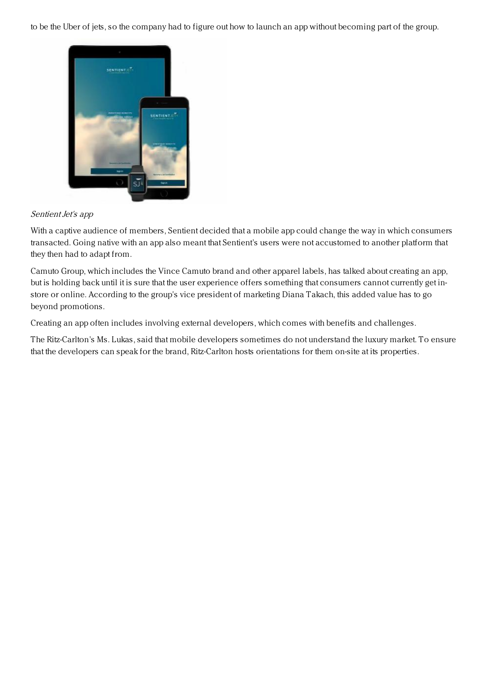to be the Uber of jets, so the company had to figure out how to launch an app without becoming part of the group.



## Sentient Jet's app

With a captive audience of members, Sentient decided that a mobile app could change the way in which consumers transacted. Going native with an app also meant that Sentient's users were not accustomed to another platform that they then had to adapt from.

Camuto Group, which includes the Vince Camuto brand and other apparel labels, has talked about creating an app, but is holding back until it is sure that the user experience offers something that consumers cannot currently get instore or online. According to the group's vice president of marketing Diana Takach, this added value has to go beyond promotions.

Creating an app often includes involving external developers, which comes with benefits and challenges.

The Ritz-Carlton's Ms. Lukas, said that mobile developers sometimes do not understand the luxury market. To ensure that the developers can speak for the brand, Ritz-Carlton hosts orientations for them on-site at its properties.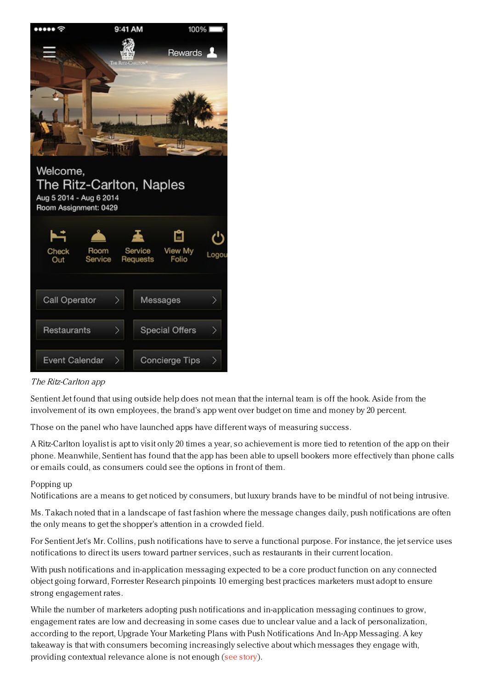

# The Ritz-Carlton app

Sentient Jet found that using outside help does not mean that the internal team is off the hook. Aside from the involvement of its own employees, the brand's app went over budget on time and money by 20 percent.

Those on the panel who have launched apps have different ways of measuring success.

A Ritz-Carlton loyalist is apt to visit only 20 times a year, so achievement is more tied to retention of the app on their phone. Meanwhile, Sentient has found that the app has been able to upsell bookers more effectively than phone calls or emails could, as consumers could see the options in front of them.

## Popping up

Notifications are a means to get noticed by consumers, but luxury brands have to be mindful of not being intrusive.

Ms. Takach noted that in a landscape of fast fashion where the message changes daily, push notifications are often the only means to get the shopper's attention in a crowded field.

For Sentient Jet's Mr. Collins, push notifications have to serve a functional purpose. For instance, the jet service uses notifications to direct its users toward partner services, such as restaurants in their current location.

With push notifications and in-application messaging expected to be a core product function on any connected object going forward, Forrester Research pinpoints 10 emerging best practices marketers must adopt to ensure strong engagement rates.

While the number of marketers adopting push notifications and in-application messaging continues to grow, engagement rates are low and decreasing in some cases due to unclear value and a lack of personalization, according to the report, Upgrade Your Marketing Plans with Push Notifications And In-App Messaging. A key takeaway is that with consumers becoming increasingly selective about which messages they engage with, providing contextual relevance alone is not enough (see [story](https://www.luxurydaily.com/better-push-notifications-needed-as-messaging-becomes-fundamental-to-connected-devices-forrester/)).